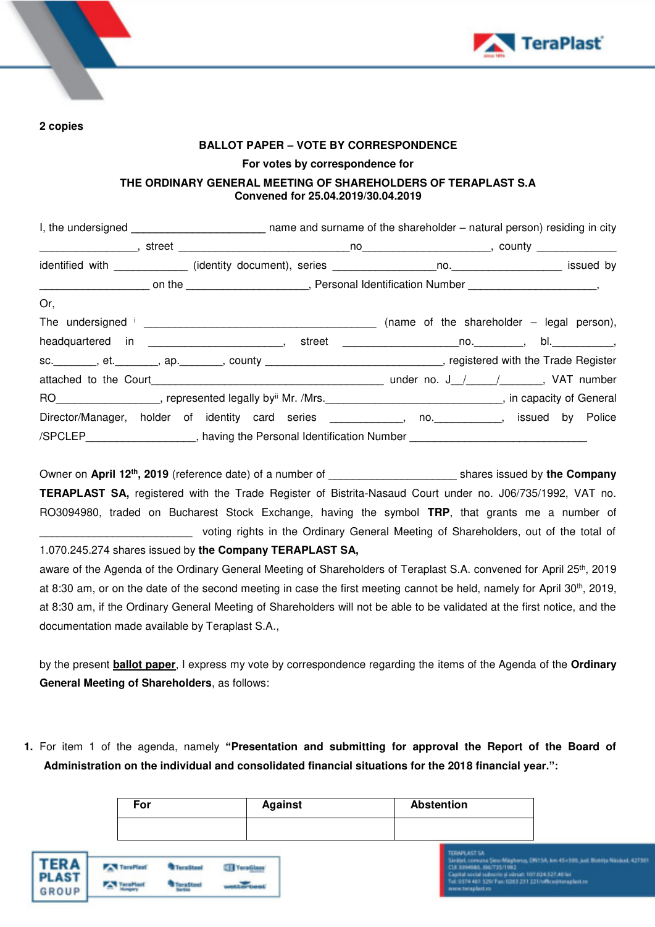



**2 copies** 

#### **BALLOT PAPER – VOTE BY CORRESPONDENCE**

**For votes by correspondence for** 

## **THE ORDINARY GENERAL MEETING OF SHAREHOLDERS OF TERAPLAST S.A Convened for 25.04.2019/30.04.2019**

| Or,                                                                                                                              |  |  |  |  |  |
|----------------------------------------------------------------------------------------------------------------------------------|--|--|--|--|--|
|                                                                                                                                  |  |  |  |  |  |
|                                                                                                                                  |  |  |  |  |  |
| sc. _______, et. _______, ap. ______, county ____________________________, registered with the Trade Register                    |  |  |  |  |  |
|                                                                                                                                  |  |  |  |  |  |
| RO ____________________, represented legally by <sup>ii</sup> Mr. /Mrs. ________________________________, in capacity of General |  |  |  |  |  |
| Director/Manager, holder of identity card series ___________, no. _________, issued by Police                                    |  |  |  |  |  |
| /SPCLEP_____________________, having the Personal Identification Number _____________________                                    |  |  |  |  |  |

Owner on **April 12th, 2019** (reference date) of a number of \_\_\_\_\_\_\_\_\_\_\_\_\_\_\_\_\_\_\_\_\_ shares issued by **the Company TERAPLAST SA,** registered with the Trade Register of Bistrita-Nasaud Court under no. J06/735/1992, VAT no. RO3094980, traded on Bucharest Stock Exchange, having the symbol **TRP**, that grants me a number of \_\_\_\_\_\_\_\_\_\_\_\_\_\_\_\_\_\_\_\_\_\_\_\_\_ voting rights in the Ordinary General Meeting of Shareholders, out of the total of

## 1.070.245.274 shares issued by **the Company TERAPLAST SA,**

aware of the Agenda of the Ordinary General Meeting of Shareholders of Teraplast S.A. convened for April 25<sup>th</sup>, 2019 at 8:30 am, or on the date of the second meeting in case the first meeting cannot be held, namely for April 30<sup>th</sup>, 2019, at 8:30 am, if the Ordinary General Meeting of Shareholders will not be able to be validated at the first notice, and the documentation made available by Teraplast S.A.,

by the present **ballot paper**, I express my vote by correspondence regarding the items of the Agenda of the **Ordinary General Meeting of Shareholders**, as follows:

**1.** For item 1 of the agenda, namely **"Presentation and submitting for approval the Report of the Board of Administration on the individual and consolidated financial situations for the 2018 financial year.":**

|                                      | For                           |                        |                               | <b>Against</b> | <b>Abstention</b> |                                                                                                                                                                                            |                                                                                        |
|--------------------------------------|-------------------------------|------------------------|-------------------------------|----------------|-------------------|--------------------------------------------------------------------------------------------------------------------------------------------------------------------------------------------|----------------------------------------------------------------------------------------|
|                                      |                               |                        |                               |                |                   |                                                                                                                                                                                            |                                                                                        |
| <b>TERA</b><br><b>PLAST</b><br>GROUP | <b>TaraPlast</b><br>TeraPlast | TeraSteel<br>TeraSteel | TeraGlass'<br><b>MARGHERS</b> |                |                   | <b>TERAPLAST SA</b><br>CUI 3094680, J06/715/1992<br>Capital social subscris si värsat: 107.034.527,40 lei<br>Tel: 0374 461 529/ Fax: 0263 231 221/office@teraplast.ro<br>www.teraplast.ro- | Sinited, converse Siero Miligherus, CRITSA, Inn 45+500, just. Bistrite Ninsliud, 42730 |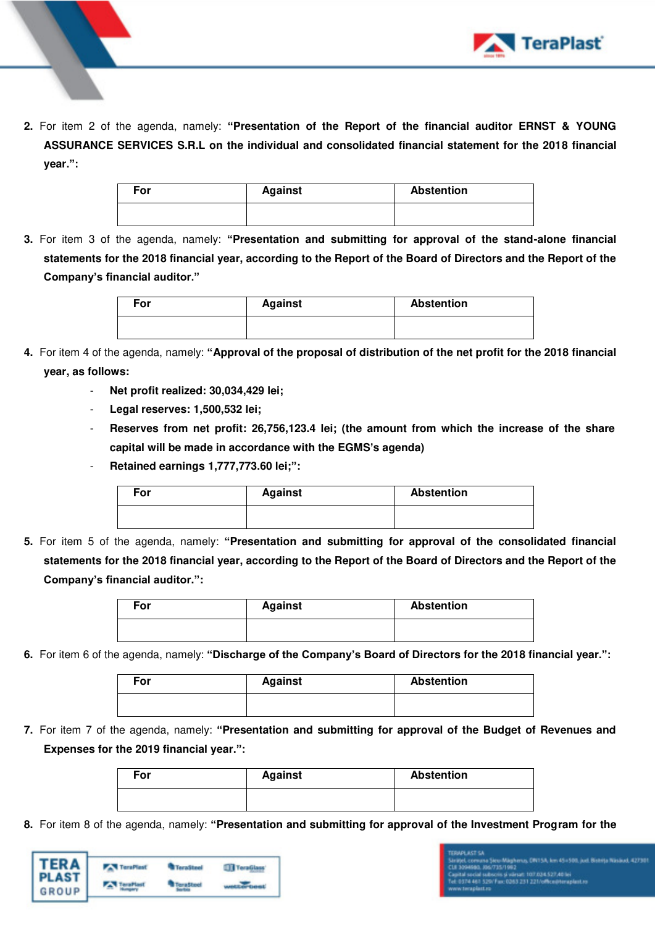

**2.** For item 2 of the agenda, namely: **"Presentation of the Report of the financial auditor ERNST & YOUNG ASSURANCE SERVICES S.R.L on the individual and consolidated financial statement for the 2018 financial year.":**

| For | <b>Against</b> | <b>Abstention</b> |
|-----|----------------|-------------------|
|     |                |                   |

**3.** For item 3 of the agenda, namely: **"Presentation and submitting for approval of the stand-alone financial statements for the 2018 financial year, according to the Report of the Board of Directors and the Report of the Company's financial auditor."**

| For | <b>Against</b> | <b>Abstention</b> |
|-----|----------------|-------------------|
|     |                |                   |

- **4.** For item 4 of the agenda, namely: **"Approval of the proposal of distribution of the net profit for the 2018 financial year, as follows:** 
	- **Net profit realized: 30,034,429 lei;**
	- **Legal reserves: 1,500,532 lei;**
	- **Reserves from net profit: 26,756,123.4 lei; (the amount from which the increase of the share capital will be made in accordance with the EGMS's agenda)**
	- **Retained earnings 1,777,773.60 lei;":**

| For | <b>Against</b> | <b>Abstention</b> |
|-----|----------------|-------------------|
|     |                |                   |

**5.** For item 5 of the agenda, namely: **"Presentation and submitting for approval of the consolidated financial statements for the 2018 financial year, according to the Report of the Board of Directors and the Report of the Company's financial auditor.":** 

| $\mathsf{For}$ | <b>Against</b> | <b>Abstention</b> |  |  |
|----------------|----------------|-------------------|--|--|
|                |                |                   |  |  |

**6.** For item 6 of the agenda, namely: **"Discharge of the Company's Board of Directors for the 2018 financial year.":**

| For | <b>Against</b> | <b>Abstention</b> |  |
|-----|----------------|-------------------|--|
|     |                |                   |  |

**7.** For item 7 of the agenda, namely: **"Presentation and submitting for approval of the Budget of Revenues and Expenses for the 2019 financial year.":**

| For | <b>Against</b> | <b>Abstention</b> |
|-----|----------------|-------------------|
|     |                |                   |

**8.** For item 8 of the agenda, namely: **"Presentation and submitting for approval of the Investment Program for the** 



# :<br>:is și vărun: 107.034.527,401ei<br>fax: 0353.231.221/office@teras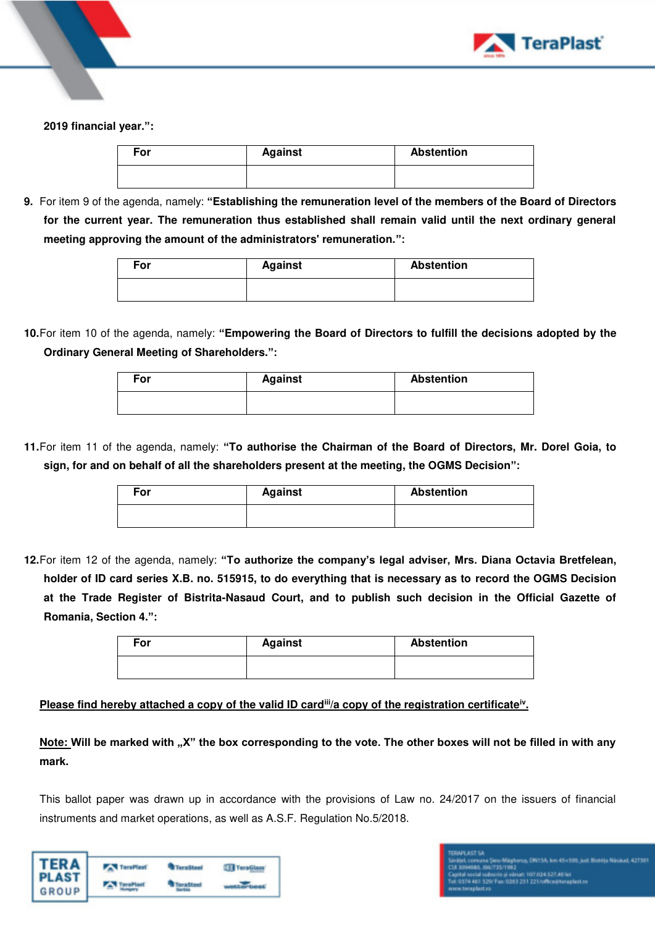

### **2019 financial year.":**

| For | <b>Against</b> | <b>Abstention</b> |  |
|-----|----------------|-------------------|--|
|     |                |                   |  |

**9.** For item 9 of the agenda, namely: **"Establishing the remuneration level of the members of the Board of Directors for the current year. The remuneration thus established shall remain valid until the next ordinary general meeting approving the amount of the administrators' remuneration.":**

| For | <b>Against</b> | <b>Abstention</b> |
|-----|----------------|-------------------|
|     |                |                   |

**10.**For item 10 of the agenda, namely: **"Empowering the Board of Directors to fulfill the decisions adopted by the Ordinary General Meeting of Shareholders.":**

| For | <b>Against</b> | <b>Abstention</b> |
|-----|----------------|-------------------|
|     |                |                   |

**11.**For item 11 of the agenda, namely: **"To authorise the Chairman of the Board of Directors, Mr. Dorel Goia, to sign, for and on behalf of all the shareholders present at the meeting, the OGMS Decision":**

| For | <b>Against</b> | <b>Abstention</b> |
|-----|----------------|-------------------|
|     |                |                   |

**12.**For item 12 of the agenda, namely: **"To authorize the company's legal adviser, Mrs. Diana Octavia Bretfelean, holder of ID card series X.B. no. 515915, to do everything that is necessary as to record the OGMS Decision at the Trade Register of Bistrita-Nasaud Court, and to publish such decision in the Official Gazette of Romania, Section 4.":**

| For | <b>Against</b> | <b>Abstention</b> |
|-----|----------------|-------------------|
|     |                |                   |

## Please find hereby attached a copy of the valid ID card<sup>iii</sup>/a copy of the registration certificate<sup>iv</sup>.

Note: Will be marked with "X" the box corresponding to the vote. The other boxes will not be filled in with any **mark.** 

This ballot paper was drawn up in accordance with the provisions of Law no. 24/2017 on the issuers of financial instruments and market operations, as well as A.S.F. Regulation No.5/2018.

| <b>TERA</b> | <b>TeraPlast</b> | <b>TeraSteel</b> |  |
|-------------|------------------|------------------|--|
| GROUP       |                  |                  |  |

# ivez<br>i värsati 107.034.527,40 lei<br>0363 231 221/office@teraplast.ro